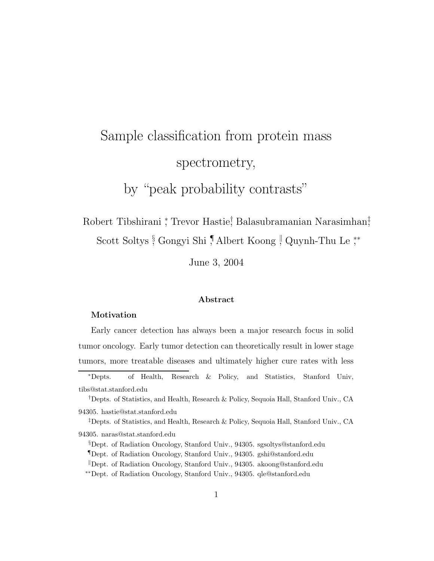# Sample classification from protein mass spectrometry, by "peak probability contrasts"

Robert Tibshirani <sup>\*</sup>, Trevor Hastie<sup>†</sup>, Balasubramanian Narasimhan<sup>‡</sup> Scott Soltys ∮ Gongyi Shi ,¶Albert Koong , Quynh-Thu Le ,\*\*

June 3, 2004

#### Abstract

#### Motivation

Early cancer detection has always been a major research focus in solid tumor oncology. Early tumor detection can theoretically result in lower stage tumors, more treatable diseases and ultimately higher cure rates with less

<sup>∗</sup>Depts. of Health, Research & Policy, and Statistics, Stanford Univ, tibs@stat.stanford.edu

†Depts. of Statistics, and Health, Research & Policy, Sequoia Hall, Stanford Univ., CA 94305. hastie@stat.stanford.edu

‡Depts. of Statistics, and Health, Research & Policy, Sequoia Hall, Stanford Univ., CA 94305. naras@stat.stanford.edu

§Dept. of Radiation Oncology, Stanford Univ., 94305. sgsoltys@stanford.edu

¶Dept. of Radiation Oncology, Stanford Univ., 94305. gshi@stanford.edu

<sup>k</sup>Dept. of Radiation Oncology, Stanford Univ., 94305. akoong@stanford.edu

∗∗Dept. of Radiation Oncology, Stanford Univ., 94305. qle@stanford.edu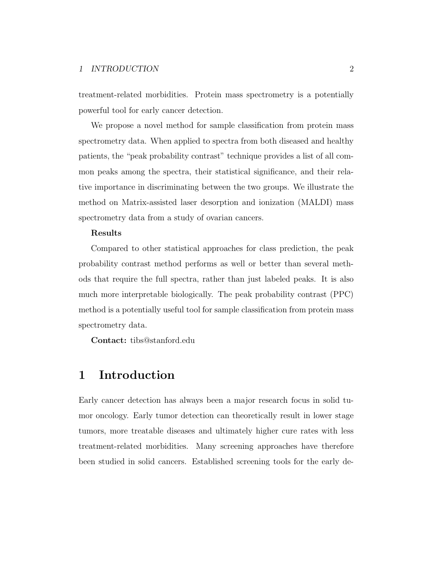treatment-related morbidities. Protein mass spectrometry is a potentially powerful tool for early cancer detection.

We propose a novel method for sample classification from protein mass spectrometry data. When applied to spectra from both diseased and healthy patients, the "peak probability contrast" technique provides a list of all common peaks among the spectra, their statistical significance, and their relative importance in discriminating between the two groups. We illustrate the method on Matrix-assisted laser desorption and ionization (MALDI) mass spectrometry data from a study of ovarian cancers.

#### Results

Compared to other statistical approaches for class prediction, the peak probability contrast method performs as well or better than several methods that require the full spectra, rather than just labeled peaks. It is also much more interpretable biologically. The peak probability contrast (PPC) method is a potentially useful tool for sample classification from protein mass spectrometry data.

Contact: tibs@stanford.edu

# 1 Introduction

Early cancer detection has always been a major research focus in solid tumor oncology. Early tumor detection can theoretically result in lower stage tumors, more treatable diseases and ultimately higher cure rates with less treatment-related morbidities. Many screening approaches have therefore been studied in solid cancers. Established screening tools for the early de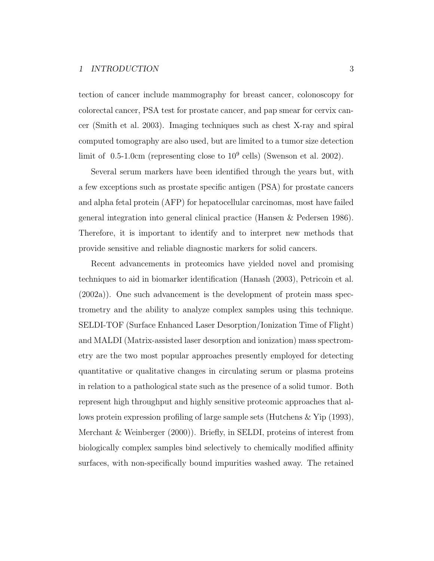tection of cancer include mammography for breast cancer, colonoscopy for colorectal cancer, PSA test for prostate cancer, and pap smear for cervix cancer (Smith et al. 2003). Imaging techniques such as chest X-ray and spiral computed tomography are also used, but are limited to a tumor size detection limit of  $0.5$ -1.0cm (representing close to  $10^9$  cells) (Swenson et al. 2002).

Several serum markers have been identified through the years but, with a few exceptions such as prostate specific antigen (PSA) for prostate cancers and alpha fetal protein (AFP) for hepatocellular carcinomas, most have failed general integration into general clinical practice (Hansen & Pedersen 1986). Therefore, it is important to identify and to interpret new methods that provide sensitive and reliable diagnostic markers for solid cancers.

Recent advancements in proteomics have yielded novel and promising techniques to aid in biomarker identification (Hanash (2003), Petricoin et al. (2002a)). One such advancement is the development of protein mass spectrometry and the ability to analyze complex samples using this technique. SELDI-TOF (Surface Enhanced Laser Desorption/Ionization Time of Flight) and MALDI (Matrix-assisted laser desorption and ionization) mass spectrometry are the two most popular approaches presently employed for detecting quantitative or qualitative changes in circulating serum or plasma proteins in relation to a pathological state such as the presence of a solid tumor. Both represent high throughput and highly sensitive proteomic approaches that allows protein expression profiling of large sample sets (Hutchens & Yip (1993), Merchant & Weinberger (2000)). Briefly, in SELDI, proteins of interest from biologically complex samples bind selectively to chemically modified affinity surfaces, with non-specifically bound impurities washed away. The retained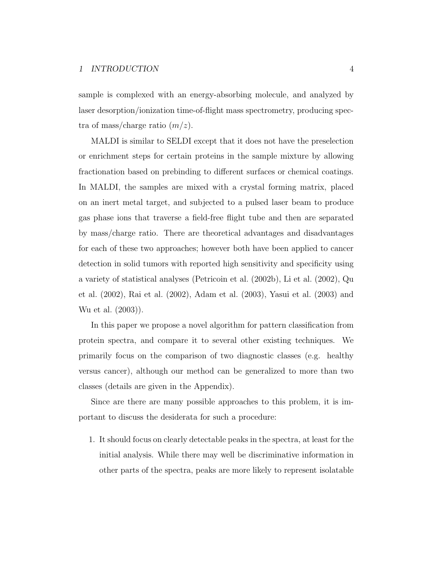sample is complexed with an energy-absorbing molecule, and analyzed by laser desorption/ionization time-of-flight mass spectrometry, producing spectra of mass/charge ratio  $(m/z)$ .

MALDI is similar to SELDI except that it does not have the preselection or enrichment steps for certain proteins in the sample mixture by allowing fractionation based on prebinding to different surfaces or chemical coatings. In MALDI, the samples are mixed with a crystal forming matrix, placed on an inert metal target, and subjected to a pulsed laser beam to produce gas phase ions that traverse a field-free flight tube and then are separated by mass/charge ratio. There are theoretical advantages and disadvantages for each of these two approaches; however both have been applied to cancer detection in solid tumors with reported high sensitivity and specificity using a variety of statistical analyses (Petricoin et al. (2002b), Li et al. (2002), Qu et al. (2002), Rai et al. (2002), Adam et al. (2003), Yasui et al. (2003) and Wu et al. (2003)).

In this paper we propose a novel algorithm for pattern classification from protein spectra, and compare it to several other existing techniques. We primarily focus on the comparison of two diagnostic classes (e.g. healthy versus cancer), although our method can be generalized to more than two classes (details are given in the Appendix).

Since are there are many possible approaches to this problem, it is important to discuss the desiderata for such a procedure:

1. It should focus on clearly detectable peaks in the spectra, at least for the initial analysis. While there may well be discriminative information in other parts of the spectra, peaks are more likely to represent isolatable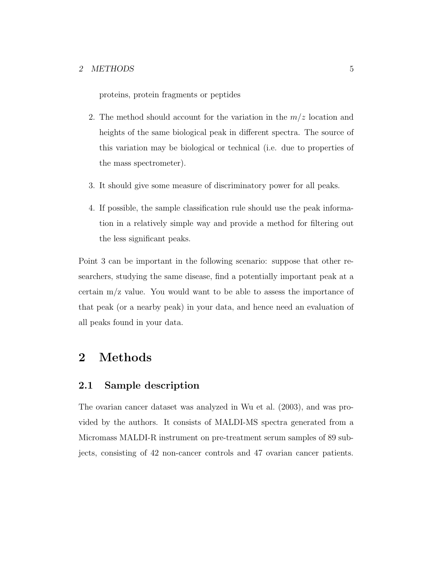proteins, protein fragments or peptides

- 2. The method should account for the variation in the  $m/z$  location and heights of the same biological peak in different spectra. The source of this variation may be biological or technical (i.e. due to properties of the mass spectrometer).
- 3. It should give some measure of discriminatory power for all peaks.
- 4. If possible, the sample classification rule should use the peak information in a relatively simple way and provide a method for filtering out the less significant peaks.

Point 3 can be important in the following scenario: suppose that other researchers, studying the same disease, find a potentially important peak at a certain m/z value. You would want to be able to assess the importance of that peak (or a nearby peak) in your data, and hence need an evaluation of all peaks found in your data.

# 2 Methods

#### 2.1 Sample description

The ovarian cancer dataset was analyzed in Wu et al. (2003), and was provided by the authors. It consists of MALDI-MS spectra generated from a Micromass MALDI-R instrument on pre-treatment serum samples of 89 subjects, consisting of 42 non-cancer controls and 47 ovarian cancer patients.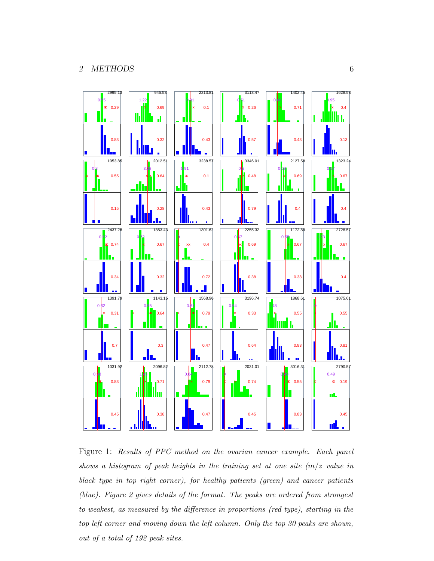

Figure 1: Results of PPC method on the ovarian cancer example. Each panel shows a histogram of peak heights in the training set at one site  $(m/z)$  value in black type in top right corner), for healthy patients (green) and cancer patients (blue). Figure 2 gives details of the format. The peaks are ordered from strongest to weakest, as measured by the difference in proportions (red type), starting in the top left corner and moving down the left column. Only the top 30 peaks are shown, out of a total of 192 peak sites.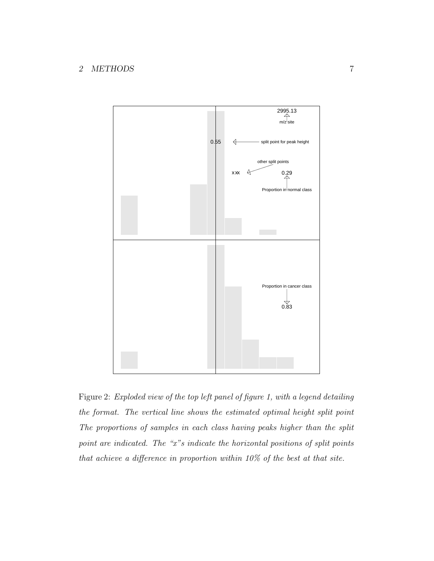#### 2 METHODS 7



Figure 2: Exploded view of the top left panel of figure 1, with a legend detailing the format. The vertical line shows the estimated optimal height split point The proportions of samples in each class having peaks higher than the split point are indicated. The "x"s indicate the horizontal positions of split points that achieve a difference in proportion within 10% of the best at that site.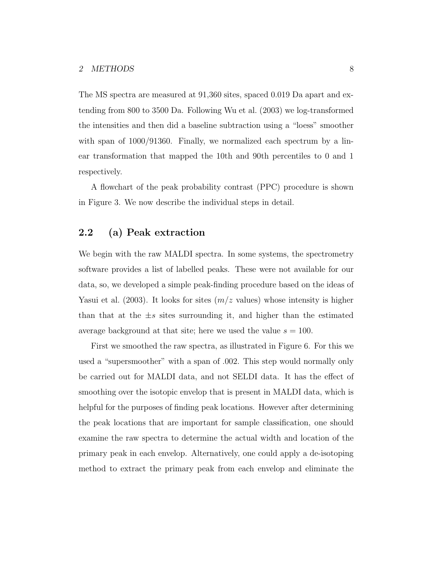The MS spectra are measured at 91,360 sites, spaced 0.019 Da apart and extending from 800 to 3500 Da. Following Wu et al. (2003) we log-transformed the intensities and then did a baseline subtraction using a "loess" smoother with span of  $1000/91360$ . Finally, we normalized each spectrum by a linear transformation that mapped the 10th and 90th percentiles to 0 and 1 respectively.

A flowchart of the peak probability contrast (PPC) procedure is shown in Figure 3. We now describe the individual steps in detail.

## 2.2 (a) Peak extraction

We begin with the raw MALDI spectra. In some systems, the spectrometry software provides a list of labelled peaks. These were not available for our data, so, we developed a simple peak-finding procedure based on the ideas of Yasui et al. (2003). It looks for sites  $(m/z$  values) whose intensity is higher than that at the  $\pm s$  sites surrounding it, and higher than the estimated average background at that site; here we used the value  $s = 100$ .

First we smoothed the raw spectra, as illustrated in Figure 6. For this we used a "supersmoother" with a span of .002. This step would normally only be carried out for MALDI data, and not SELDI data. It has the effect of smoothing over the isotopic envelop that is present in MALDI data, which is helpful for the purposes of finding peak locations. However after determining the peak locations that are important for sample classification, one should examine the raw spectra to determine the actual width and location of the primary peak in each envelop. Alternatively, one could apply a de-isotoping method to extract the primary peak from each envelop and eliminate the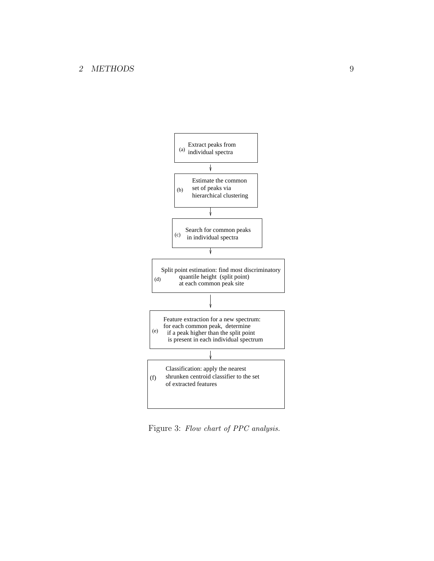#### 2 METHODS 9



Figure 3: Flow chart of PPC analysis.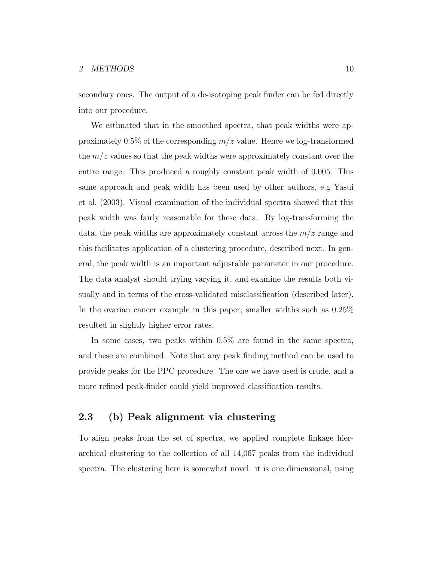secondary ones. The output of a de-isotoping peak finder can be fed directly into our procedure.

We estimated that in the smoothed spectra, that peak widths were approximately 0.5% of the corresponding  $m/z$  value. Hence we log-transformed the  $m/z$  values so that the peak widths were approximately constant over the entire range. This produced a roughly constant peak width of 0.005. This same approach and peak width has been used by other authors, e.g Yasui et al. (2003). Visual examination of the individual spectra showed that this peak width was fairly reasonable for these data. By log-transforming the data, the peak widths are approximately constant across the  $m/z$  range and this facilitates application of a clustering procedure, described next. In general, the peak width is an important adjustable parameter in our procedure. The data analyst should trying varying it, and examine the results both visually and in terms of the cross-validated misclassification (described later). In the ovarian cancer example in this paper, smaller widths such as 0.25% resulted in slightly higher error rates.

In some cases, two peaks within 0.5% are found in the same spectra, and these are combined. Note that any peak finding method can be used to provide peaks for the PPC procedure. The one we have used is crude, and a more refined peak-finder could yield improved classification results.

### 2.3 (b) Peak alignment via clustering

To align peaks from the set of spectra, we applied complete linkage hierarchical clustering to the collection of all 14,067 peaks from the individual spectra. The clustering here is somewhat novel: it is one dimensional, using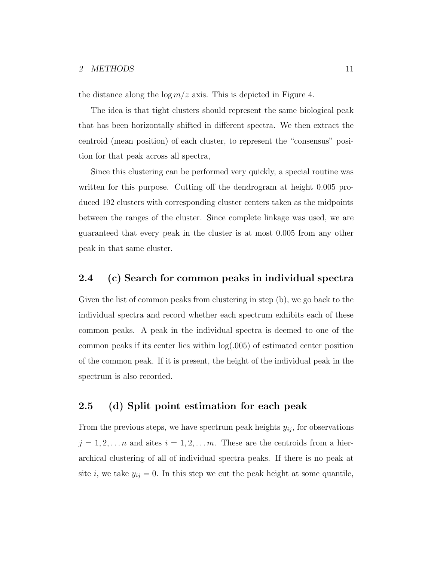the distance along the  $\log m/z$  axis. This is depicted in Figure 4.

The idea is that tight clusters should represent the same biological peak that has been horizontally shifted in different spectra. We then extract the centroid (mean position) of each cluster, to represent the "consensus" position for that peak across all spectra,

Since this clustering can be performed very quickly, a special routine was written for this purpose. Cutting off the dendrogram at height 0.005 produced 192 clusters with corresponding cluster centers taken as the midpoints between the ranges of the cluster. Since complete linkage was used, we are guaranteed that every peak in the cluster is at most 0.005 from any other peak in that same cluster.

## 2.4 (c) Search for common peaks in individual spectra

Given the list of common peaks from clustering in step (b), we go back to the individual spectra and record whether each spectrum exhibits each of these common peaks. A peak in the individual spectra is deemed to one of the common peaks if its center lies within log(.005) of estimated center position of the common peak. If it is present, the height of the individual peak in the spectrum is also recorded.

#### 2.5 (d) Split point estimation for each peak

From the previous steps, we have spectrum peak heights  $y_{ij}$ , for observations  $j = 1, 2, \ldots n$  and sites  $i = 1, 2, \ldots m$ . These are the centroids from a hierarchical clustering of all of individual spectra peaks. If there is no peak at site i, we take  $y_{ij} = 0$ . In this step we cut the peak height at some quantile,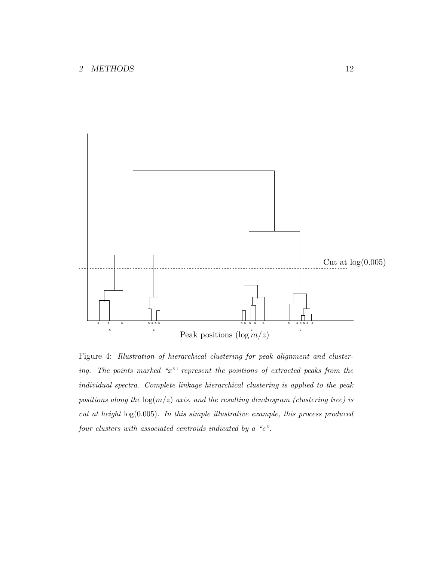

Figure 4: Illustration of hierarchical clustering for peak alignment and clustering. The points marked "x"' represent the positions of extracted peaks from the individual spectra. Complete linkage hierarchical clustering is applied to the peak positions along the  $log(m/z)$  axis, and the resulting dendrogram (clustering tree) is cut at height  $log(0.005)$ . In this simple illustrative example, this process produced four clusters with associated centroids indicated by a "c".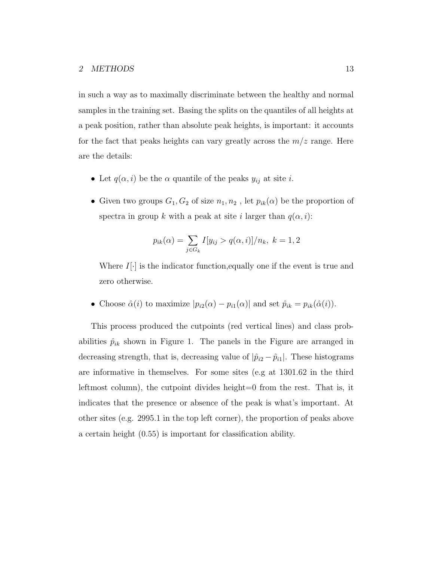in such a way as to maximally discriminate between the healthy and normal samples in the training set. Basing the splits on the quantiles of all heights at a peak position, rather than absolute peak heights, is important: it accounts for the fact that peaks heights can vary greatly across the  $m/z$  range. Here are the details:

- Let  $q(\alpha, i)$  be the  $\alpha$  quantile of the peaks  $y_{ij}$  at site *i*.
- Given two groups  $G_1, G_2$  of size  $n_1, n_2$ , let  $p_{ik}(\alpha)$  be the proportion of spectra in group k with a peak at site i larger than  $q(\alpha, i)$ :

$$
p_{ik}(\alpha) = \sum_{j \in G_k} I[y_{ij} > q(\alpha, i)]/n_k, \ k = 1, 2
$$

Where  $I[\cdot]$  is the indicator function, equally one if the event is true and zero otherwise.

• Choose  $\hat{\alpha}(i)$  to maximize  $|p_{i2}(\alpha) - p_{i1}(\alpha)|$  and set  $\hat{p}_{ik} = p_{ik}(\hat{\alpha}(i)).$ 

This process produced the cutpoints (red vertical lines) and class probabilities  $\hat{p}_{ik}$  shown in Figure 1. The panels in the Figure are arranged in decreasing strength, that is, decreasing value of  $|\hat{p}_{i2} - \hat{p}_{i1}|$ . These histograms are informative in themselves. For some sites (e.g at 1301.62 in the third leftmost column), the cutpoint divides height=0 from the rest. That is, it indicates that the presence or absence of the peak is what's important. At other sites (e.g. 2995.1 in the top left corner), the proportion of peaks above a certain height (0.55) is important for classification ability.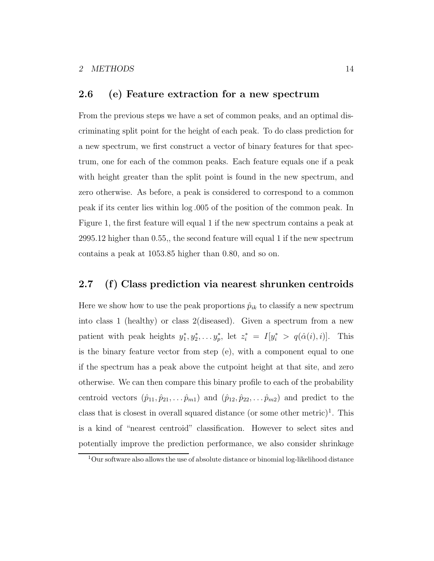#### 2.6 (e) Feature extraction for a new spectrum

From the previous steps we have a set of common peaks, and an optimal discriminating split point for the height of each peak. To do class prediction for a new spectrum, we first construct a vector of binary features for that spectrum, one for each of the common peaks. Each feature equals one if a peak with height greater than the split point is found in the new spectrum, and zero otherwise. As before, a peak is considered to correspond to a common peak if its center lies within log .005 of the position of the common peak. In Figure 1, the first feature will equal 1 if the new spectrum contains a peak at 2995.12 higher than 0.55,, the second feature will equal 1 if the new spectrum contains a peak at 1053.85 higher than 0.80, and so on.

#### 2.7 (f) Class prediction via nearest shrunken centroids

Here we show how to use the peak proportions  $\hat{p}_{ik}$  to classify a new spectrum into class 1 (healthy) or class 2(diseased). Given a spectrum from a new patient with peak heights  $y_1^*, y_2^*, \ldots, y_p^*$ \*, let  $z_i^* = I[y_i^* > q(\hat{\alpha}(i), i)]$ . This is the binary feature vector from step (e), with a component equal to one if the spectrum has a peak above the cutpoint height at that site, and zero otherwise. We can then compare this binary profile to each of the probability centroid vectors  $(\hat{p}_{11}, \hat{p}_{21}, \dots, \hat{p}_{m1})$  and  $(\hat{p}_{12}, \hat{p}_{22}, \dots, \hat{p}_{m2})$  and predict to the class that is closest in overall squared distance (or some other metric)<sup>1</sup>. This is a kind of "nearest centroid" classification. However to select sites and potentially improve the prediction performance, we also consider shrinkage

 $1$ Our software also allows the use of absolute distance or binomial log-likelihood distance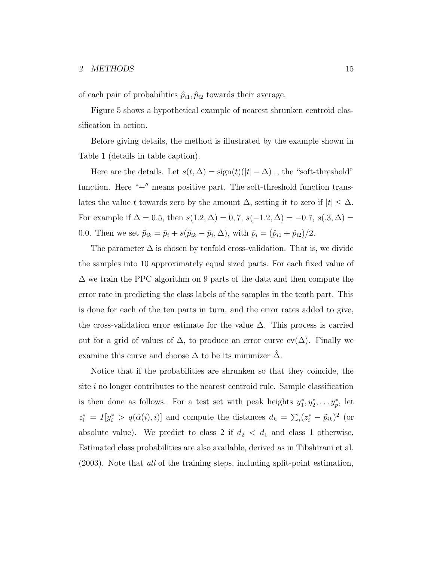of each pair of probabilities  $\hat{p}_{i1}, \hat{p}_{i2}$  towards their average.

Figure 5 shows a hypothetical example of nearest shrunken centroid classification in action.

Before giving details, the method is illustrated by the example shown in Table 1 (details in table caption).

Here are the details. Let  $s(t, \Delta) = \text{sign}(t)(|t| - \Delta)_+,$  the "soft-threshold" function. Here " $+$ " means positive part. The soft-threshold function translates the value t towards zero by the amount  $\Delta$ , setting it to zero if  $|t| \leq \Delta$ . For example if  $\Delta = 0.5$ , then  $s(1.2, \Delta) = 0.7$ ,  $s(-1.2, \Delta) = -0.7$ ,  $s(.3, \Delta) =$ 0.0. Then we set  $\tilde{p}_{ik} = \bar{p}_i + s(\hat{p}_{ik} - \bar{p}_i, \Delta)$ , with  $\bar{p}_i = (\hat{p}_{i1} + \hat{p}_{i2})/2$ .

The parameter  $\Delta$  is chosen by tenfold cross-validation. That is, we divide the samples into 10 approximately equal sized parts. For each fixed value of  $\Delta$  we train the PPC algorithm on 9 parts of the data and then compute the error rate in predicting the class labels of the samples in the tenth part. This is done for each of the ten parts in turn, and the error rates added to give, the cross-validation error estimate for the value  $\Delta$ . This process is carried out for a grid of values of  $\Delta$ , to produce an error curve cv( $\Delta$ ). Finally we examine this curve and choose  $\Delta$  to be its minimizer  $\Delta$ .

Notice that if the probabilities are shrunken so that they coincide, the site i no longer contributes to the nearest centroid rule. Sample classification is then done as follows. For a test set with peak heights  $y_1^*, y_2^*, \ldots, y_p^*$  $_p^*$ , let  $z_i^* = I[y_i^* > q(\hat{\alpha}(i), i)]$  and compute the distances  $d_k = \sum_i (z_i^* - \tilde{p}_{ik})^2$  (or absolute value). We predict to class 2 if  $d_2 < d_1$  and class 1 otherwise. Estimated class probabilities are also available, derived as in Tibshirani et al. (2003). Note that all of the training steps, including split-point estimation,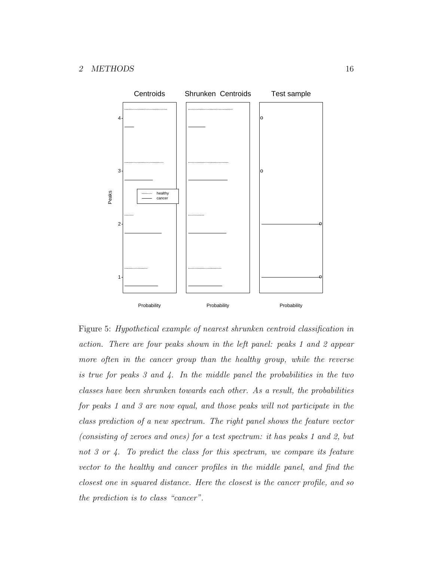

Figure 5: Hypothetical example of nearest shrunken centroid classification in action. There are four peaks shown in the left panel: peaks 1 and 2 appear more often in the cancer group than the healthy group, while the reverse is true for peaks 3 and 4. In the middle panel the probabilities in the two classes have been shrunken towards each other. As a result, the probabilities for peaks 1 and 3 are now equal, and those peaks will not participate in the class prediction of a new spectrum. The right panel shows the feature vector (consisting of zeroes and ones) for a test spectrum: it has peaks 1 and 2, but not 3 or 4. To predict the class for this spectrum, we compare its feature vector to the healthy and cancer profiles in the middle panel, and find the closest one in squared distance. Here the closest is the cancer profile, and so the prediction is to class "cancer".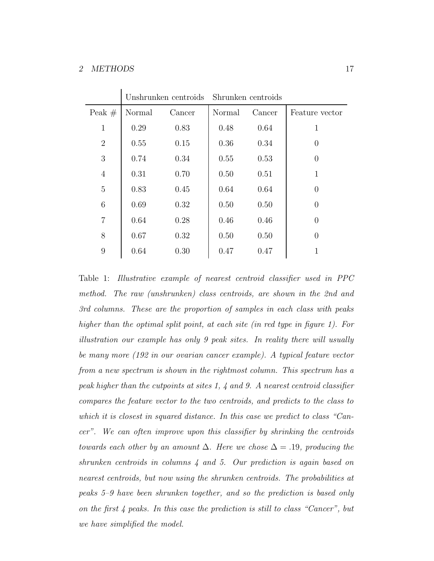#### 2 METHODS 17

|                | Unshrunken centroids Shrunken centroids |        |        |        |                  |
|----------------|-----------------------------------------|--------|--------|--------|------------------|
| Peak $#$       | Normal                                  | Cancer | Normal | Cancer | Feature vector   |
| $\mathbf{1}$   | 0.29                                    | 0.83   | 0.48   | 0.64   | 1                |
| $\overline{2}$ | 0.55                                    | 0.15   | 0.36   | 0.34   | $\left( \right)$ |
| 3              | 0.74                                    | 0.34   | 0.55   | 0.53   | $\theta$         |
| $\overline{4}$ | 0.31                                    | 0.70   | 0.50   | 0.51   | 1                |
| $\overline{5}$ | 0.83                                    | 0.45   | 0.64   | 0.64   | $\left( \right)$ |
| 6              | 0.69                                    | 0.32   | 0.50   | 0.50   | $\theta$         |
| $\overline{7}$ | 0.64                                    | 0.28   | 0.46   | 0.46   | $\Omega$         |
| 8              | 0.67                                    | 0.32   | 0.50   | 0.50   | $\theta$         |
| 9              | 0.64                                    | 0.30   | 0.47   | 0.47   | 1                |

Table 1: Illustrative example of nearest centroid classifier used in PPC method. The raw (unshrunken) class centroids, are shown in the 2nd and 3rd columns. These are the proportion of samples in each class with peaks higher than the optimal split point, at each site (in red type in figure 1). For illustration our example has only 9 peak sites. In reality there will usually be many more (192 in our ovarian cancer example). A typical feature vector from a new spectrum is shown in the rightmost column. This spectrum has a peak higher than the cutpoints at sites 1, 4 and 9. A nearest centroid classifier compares the feature vector to the two centroids, and predicts to the class to which it is closest in squared distance. In this case we predict to class "Cancer". We can often improve upon this classifier by shrinking the centroids towards each other by an amount  $\Delta$ . Here we chose  $\Delta = .19$ , producing the shrunken centroids in columns 4 and 5. Our prediction is again based on nearest centroids, but now using the shrunken centroids. The probabilities at peaks 5–9 have been shrunken together, and so the prediction is based only on the first  $\lambda$  peaks. In this case the prediction is still to class "Cancer", but we have simplified the model.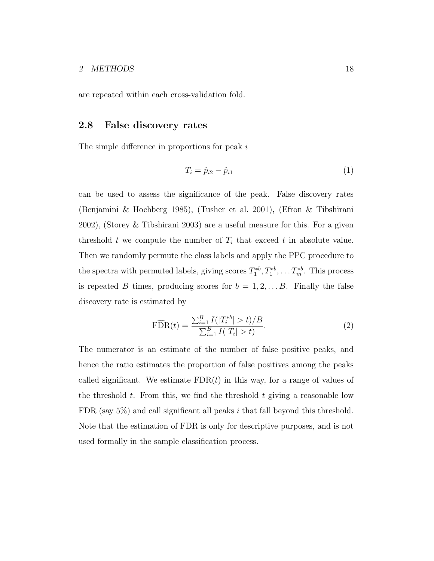are repeated within each cross-validation fold.

#### 2.8 False discovery rates

The simple difference in proportions for peak i

$$
T_i = \hat{p}_{i2} - \hat{p}_{i1} \tag{1}
$$

can be used to assess the significance of the peak. False discovery rates (Benjamini & Hochberg 1985), (Tusher et al. 2001), (Efron & Tibshirani 2002), (Storey & Tibshirani 2003) are a useful measure for this. For a given threshold t we compute the number of  $T_i$  that exceed t in absolute value. Then we randomly permute the class labels and apply the PPC procedure to the spectra with permuted labels, giving scores  $T_1^{*b}, T_1^{*b}, \ldots T_m^{*b}$ . This process is repeated B times, producing scores for  $b = 1, 2, \ldots B$ . Finally the false discovery rate is estimated by

$$
\widehat{\text{FDR}}(t) = \frac{\sum_{i=1}^{B} I(|T_i^{*b}| > t)/B}{\sum_{i=1}^{B} I(|T_i| > t)}.
$$
\n(2)

The numerator is an estimate of the number of false positive peaks, and hence the ratio estimates the proportion of false positives among the peaks called significant. We estimate  $FDR(t)$  in this way, for a range of values of the threshold t. From this, we find the threshold t giving a reasonable low FDR (say  $5\%$ ) and call significant all peaks i that fall beyond this threshold. Note that the estimation of FDR is only for descriptive purposes, and is not used formally in the sample classification process.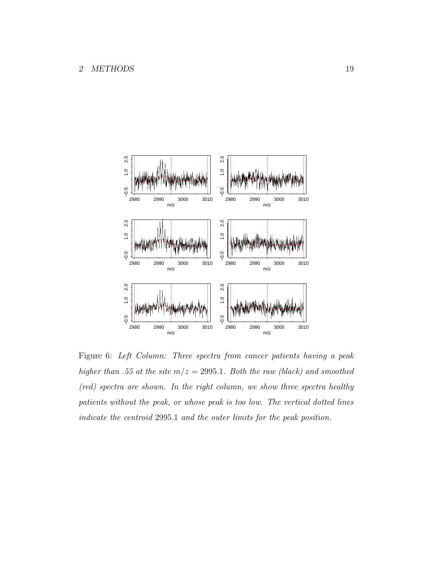

Figure 6: Left Column: Three spectra from cancer patients having a peak higher than .55 at the site  $m/z = 2995.1$ . Both the raw (black) and smoothed (red) spectra are shown. In the right column, we show three spectra healthy patients without the peak, or whose peak is too low. The vertical dotted lines indicate the centroid 2995.1 and the outer limits for the peak position.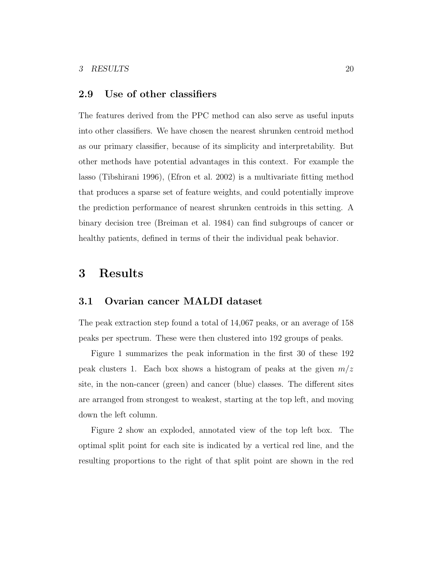#### 2.9 Use of other classifiers

The features derived from the PPC method can also serve as useful inputs into other classifiers. We have chosen the nearest shrunken centroid method as our primary classifier, because of its simplicity and interpretability. But other methods have potential advantages in this context. For example the lasso (Tibshirani 1996), (Efron et al. 2002) is a multivariate fitting method that produces a sparse set of feature weights, and could potentially improve the prediction performance of nearest shrunken centroids in this setting. A binary decision tree (Breiman et al. 1984) can find subgroups of cancer or healthy patients, defined in terms of their the individual peak behavior.

## 3 Results

#### 3.1 Ovarian cancer MALDI dataset

The peak extraction step found a total of 14,067 peaks, or an average of 158 peaks per spectrum. These were then clustered into 192 groups of peaks.

Figure 1 summarizes the peak information in the first 30 of these 192 peak clusters 1. Each box shows a histogram of peaks at the given  $m/z$ site, in the non-cancer (green) and cancer (blue) classes. The different sites are arranged from strongest to weakest, starting at the top left, and moving down the left column.

Figure 2 show an exploded, annotated view of the top left box. The optimal split point for each site is indicated by a vertical red line, and the resulting proportions to the right of that split point are shown in the red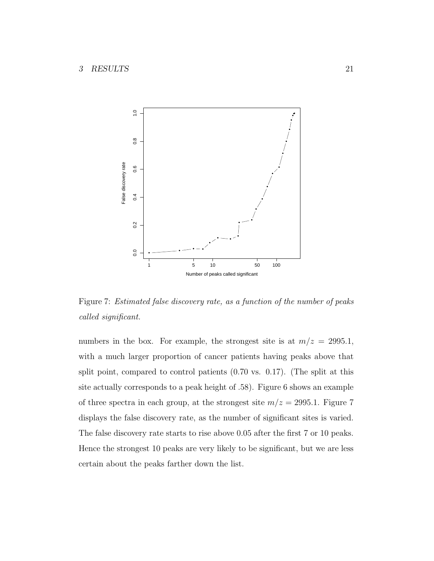

Figure 7: Estimated false discovery rate, as a function of the number of peaks called significant.

numbers in the box. For example, the strongest site is at  $m/z = 2995.1$ , with a much larger proportion of cancer patients having peaks above that split point, compared to control patients (0.70 vs. 0.17). (The split at this site actually corresponds to a peak height of .58). Figure 6 shows an example of three spectra in each group, at the strongest site  $m/z = 2995.1$ . Figure 7 displays the false discovery rate, as the number of significant sites is varied. The false discovery rate starts to rise above 0.05 after the first 7 or 10 peaks. Hence the strongest 10 peaks are very likely to be significant, but we are less certain about the peaks farther down the list.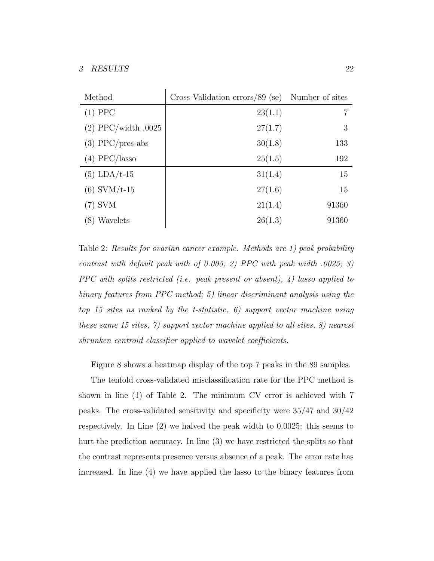| Method                | Cross Validation errors/89 (se) | Number of sites |
|-----------------------|---------------------------------|-----------------|
| $(1)$ PPC             | 23(1.1)                         | 7               |
| $(2)$ PPC/width .0025 | 27(1.7)                         | 3               |
| $(3)$ PPC/pres-abs    | 30(1.8)                         | 133             |
| $(4)$ PPC/lasso       | 25(1.5)                         | 192             |
| $(5)$ LDA/t-15        | 31(1.4)                         | 15              |
| $(6)$ SVM/t-15        | 27(1.6)                         | 15              |
| $(7)$ SVM             | 21(1.4)                         | 91360           |
| (8) Wavelets          | 26(1.3)                         | 91360           |

Table 2: Results for ovarian cancer example. Methods are 1) peak probability contrast with default peak with of 0.005; 2) PPC with peak width .0025; 3) PPC with splits restricted (i.e. peak present or absent),  $\phi$ ) lasso applied to binary features from PPC method; 5) linear discriminant analysis using the top 15 sites as ranked by the t-statistic, 6) support vector machine using these same 15 sites, 7) support vector machine applied to all sites, 8) nearest shrunken centroid classifier applied to wavelet coefficients.

Figure 8 shows a heatmap display of the top 7 peaks in the 89 samples.

The tenfold cross-validated misclassification rate for the PPC method is shown in line (1) of Table 2. The minimum CV error is achieved with 7 peaks. The cross-validated sensitivity and specificity were 35/47 and 30/42 respectively. In Line (2) we halved the peak width to 0.0025: this seems to hurt the prediction accuracy. In line (3) we have restricted the splits so that the contrast represents presence versus absence of a peak. The error rate has increased. In line (4) we have applied the lasso to the binary features from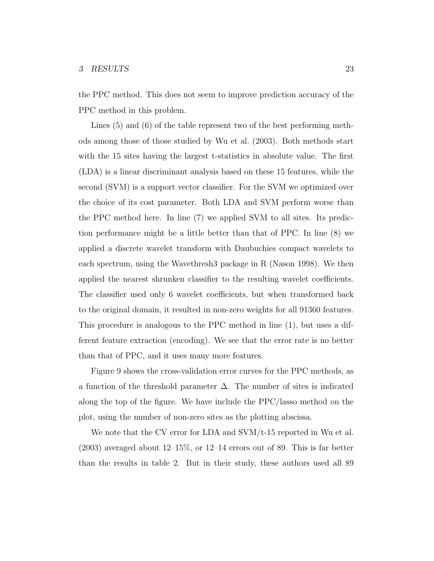the PPC method. This does not seem to improve prediction accuracy of the PPC method in this problem.

Lines (5) and (6) of the table represent two of the best performing methods among those of those studied by Wu et al. (2003). Both methods start with the 15 sites having the largest t-statistics in absolute value. The first (LDA) is a linear discriminant analysis based on these 15 features, while the second (SVM) is a support vector classifier. For the SVM we optimized over the choice of its cost parameter. Both LDA and SVM perform worse than the PPC method here. In line (7) we applied SVM to all sites. Its prediction performance might be a little better than that of PPC. In line (8) we applied a discrete wavelet transform with Daubuchies compact wavelets to each spectrum, using the Wavethresh3 package in R (Nason 1998). We then applied the nearest shrunken classifier to the resulting wavelet coefficients. The classifier used only 6 wavelet coefficients, but when transformed back to the original domain, it resulted in non-zero weights for all 91360 features. This procedure is analogous to the PPC method in line (1), but uses a different feature extraction (encoding). We see that the error rate is no better than that of PPC, and it uses many more features.

Figure 9 shows the cross-validation error curves for the PPC methods, as a function of the threshold parameter  $\Delta$ . The number of sites is indicated along the top of the figure. We have include the PPC/lasso method on the plot, using the number of non-zero sites as the plotting abscissa.

We note that the CV error for LDA and  $\text{SVM}/t$ -15 reported in Wu et al.  $(2003)$  averaged about  $12-15\%$ , or  $12-14$  errors out of 89. This is far better than the results in table 2. But in their study, these authors used all 89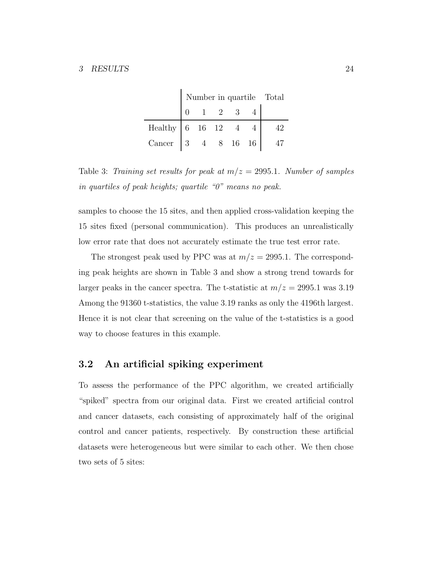|                   | Number in quartile Total |  |                |                |  |  |
|-------------------|--------------------------|--|----------------|----------------|--|--|
|                   |                          |  | $\overline{2}$ | $\overline{3}$ |  |  |
| Healthy 6 16 12 4 |                          |  |                |                |  |  |
| Cancer $ 3 $      |                          |  | 4 8 16 16      |                |  |  |

 $\mathbf{I}$ 

Table 3: Training set results for peak at  $m/z = 2995.1$ . Number of samples in quartiles of peak heights; quartile "0" means no peak.

samples to choose the 15 sites, and then applied cross-validation keeping the 15 sites fixed (personal communication). This produces an unrealistically low error rate that does not accurately estimate the true test error rate.

The strongest peak used by PPC was at  $m/z = 2995.1$ . The corresponding peak heights are shown in Table 3 and show a strong trend towards for larger peaks in the cancer spectra. The t-statistic at  $m/z = 2995.1$  was 3.19 Among the 91360 t-statistics, the value 3.19 ranks as only the 4196th largest. Hence it is not clear that screening on the value of the t-statistics is a good way to choose features in this example.

#### 3.2 An artificial spiking experiment

To assess the performance of the PPC algorithm, we created artificially "spiked" spectra from our original data. First we created artificial control and cancer datasets, each consisting of approximately half of the original control and cancer patients, respectively. By construction these artificial datasets were heterogeneous but were similar to each other. We then chose two sets of 5 sites: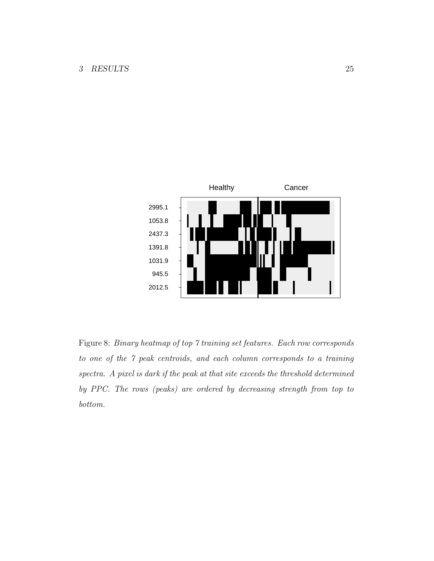

Figure 8: Binary heatmap of top 7 training set features. Each row corresponds to one of the 7 peak centroids, and each column corresponds to a training spectra. A pixel is dark if the peak at that site exceeds the threshold determined by PPC. The rows (peaks) are ordered by decreasing strength from top to bottom.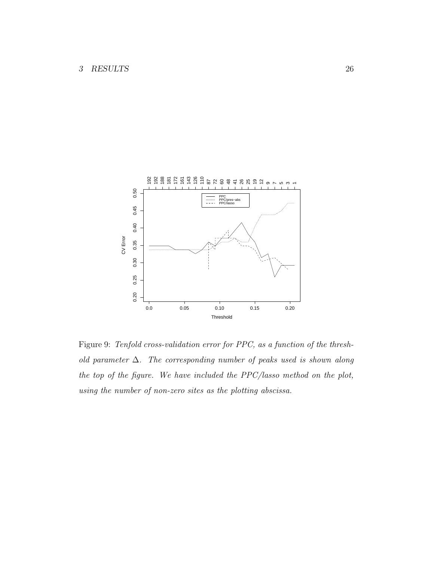

Figure 9: Tenfold cross-validation error for PPC, as a function of the threshold parameter  $\Delta$ . The corresponding number of peaks used is shown along the top of the figure. We have included the PPC/lasso method on the plot, using the number of non-zero sites as the plotting abscissa.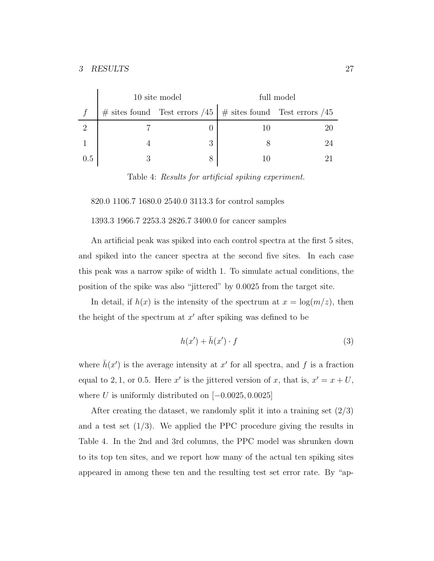|     | 10 site model |                                                                     | full model |     |  |
|-----|---------------|---------------------------------------------------------------------|------------|-----|--|
|     |               | $\#$ sites found Test errors /45   $\#$ sites found Test errors /45 |            |     |  |
|     |               |                                                                     |            |     |  |
|     |               | 3                                                                   |            | 9.4 |  |
| 0.5 |               | 8                                                                   |            |     |  |

Table 4: Results for artificial spiking experiment.

820.0 1106.7 1680.0 2540.0 3113.3 for control samples

1393.3 1966.7 2253.3 2826.7 3400.0 for cancer samples

An artificial peak was spiked into each control spectra at the first 5 sites, and spiked into the cancer spectra at the second five sites. In each case this peak was a narrow spike of width 1. To simulate actual conditions, the position of the spike was also "jittered" by 0.0025 from the target site.

In detail, if  $h(x)$  is the intensity of the spectrum at  $x = \log(m/z)$ , then the height of the spectrum at  $x'$  after spiking was defined to be

$$
h(x') + \bar{h}(x') \cdot f \tag{3}
$$

where  $\bar{h}(x')$  is the average intensity at x' for all spectra, and f is a fraction equal to 2, 1, or 0.5. Here x' is the jittered version of x, that is,  $x' = x + U$ , where U is uniformly distributed on  $[-0.0025, 0.0025]$ 

After creating the dataset, we randomly split it into a training set  $(2/3)$ and a test set  $(1/3)$ . We applied the PPC procedure giving the results in Table 4. In the 2nd and 3rd columns, the PPC model was shrunken down to its top ten sites, and we report how many of the actual ten spiking sites appeared in among these ten and the resulting test set error rate. By "ap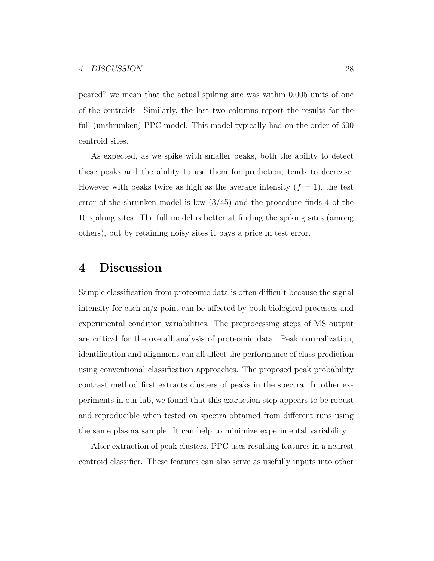peared" we mean that the actual spiking site was within 0.005 units of one of the centroids. Similarly, the last two columns report the results for the full (unshrunken) PPC model. This model typically had on the order of 600 centroid sites.

As expected, as we spike with smaller peaks, both the ability to detect these peaks and the ability to use them for prediction, tends to decrease. However with peaks twice as high as the average intensity  $(f = 1)$ , the test error of the shrunken model is low  $(3/45)$  and the procedure finds 4 of the 10 spiking sites. The full model is better at finding the spiking sites (among others), but by retaining noisy sites it pays a price in test error.

# 4 Discussion

Sample classification from proteomic data is often difficult because the signal intensity for each m/z point can be affected by both biological processes and experimental condition variabilities. The preprocessing steps of MS output are critical for the overall analysis of proteomic data. Peak normalization, identification and alignment can all affect the performance of class prediction using conventional classification approaches. The proposed peak probability contrast method first extracts clusters of peaks in the spectra. In other experiments in our lab, we found that this extraction step appears to be robust and reproducible when tested on spectra obtained from different runs using the same plasma sample. It can help to minimize experimental variability.

After extraction of peak clusters, PPC uses resulting features in a nearest centroid classifier. These features can also serve as usefully inputs into other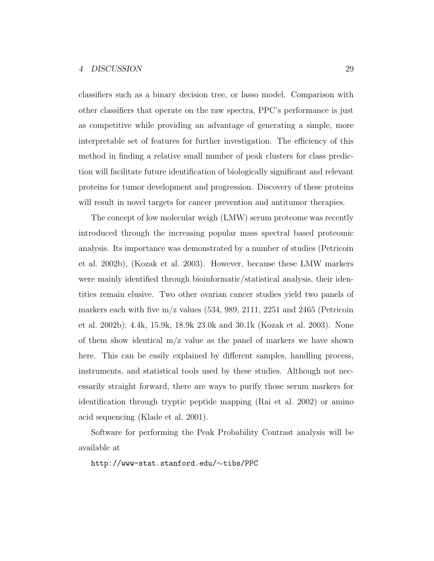classifiers such as a binary decision tree, or lasso model. Comparison with other classifiers that operate on the raw spectra, PPC's performance is just as competitive while providing an advantage of generating a simple, more interpretable set of features for further investigation. The efficiency of this method in finding a relative small number of peak clusters for class prediction will facilitate future identification of biologically significant and relevant proteins for tumor development and progression. Discovery of these proteins will result in novel targets for cancer prevention and antitumor therapies.

The concept of low molecular weigh (LMW) serum proteome was recently introduced through the increasing popular mass spectral based proteomic analysis. Its importance was demonstrated by a number of studies (Petricoin et al. 2002b), (Kozak et al. 2003). However, because these LMW markers were mainly identified through bioinformatic/statistical analysis, their identities remain elusive. Two other ovarian cancer studies yield two panels of markers each with five  $m/z$  values (534, 989, 2111, 2251 and 2465 (Petricoin et al. 2002b); 4.4k, 15.9k, 18.9k 23.0k and 30.1k (Kozak et al. 2003). None of them show identical  $m/z$  value as the panel of markers we have shown here. This can be easily explained by different samples, handling process, instruments, and statistical tools used by these studies. Although not necessarily straight forward, there are ways to purify those serum markers for identification through tryptic peptide mapping (Rai et al. 2002) or amino acid sequencing (Klade et al. 2001).

Software for performing the Peak Probability Contrast analysis will be available at

http://www-stat.stanford.edu/∼tibs/PPC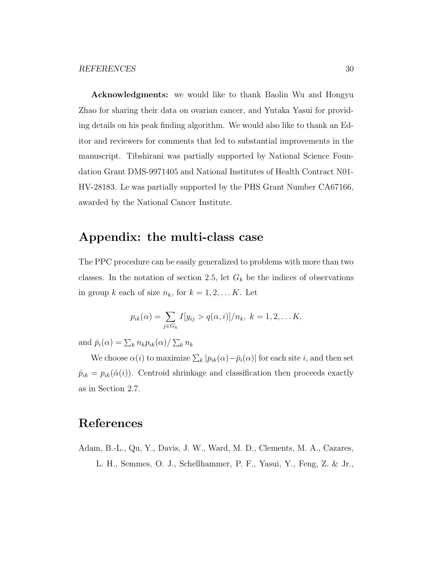Acknowledgments: we would like to thank Baolin Wu and Hongyu Zhao for sharing their data on ovarian cancer, and Yutaka Yasui for providing details on his peak finding algorithm. We would also like to thank an Editor and reviewers for comments that led to substantial improvements in the manuscript. Tibshirani was partially supported by National Science Foundation Grant DMS-9971405 and National Institutes of Health Contract N01- HV-28183. Le was partially supported by the PHS Grant Number CA67166, awarded by the National Cancer Institute.

## Appendix: the multi-class case

The PPC procedure can be easily generalized to problems with more than two classes. In the notation of section 2.5, let  $G_k$  be the indices of observations in group k each of size  $n_k$ , for  $k = 1, 2, \dots K$ . Let

$$
p_{ik}(\alpha) = \sum_{j \in G_k} I[y_{ij} > q(\alpha, i)]/n_k, \ k = 1, 2, \dots K,
$$

and  $\bar{p}_i(\alpha) = \sum_k n_k p_{ik}(\alpha) / \sum_k n_k$ 

We choose  $\alpha(i)$  to maximize  $\sum_{k} |p_{ik}(\alpha) - \bar{p}_i(\alpha)|$  for each site i, and then set  $\hat{p}_{ik} = p_{ik}(\hat{\alpha}(i))$ . Centroid shrinkage and classification then proceeds exactly as in Section 2.7.

# References

Adam, B.-L., Qu, Y., Davis, J. W., Ward, M. D., Clements, M. A., Cazares, L. H., Semmes, O. J., Schellhammer, P. F., Yasui, Y., Feng, Z. & Jr.,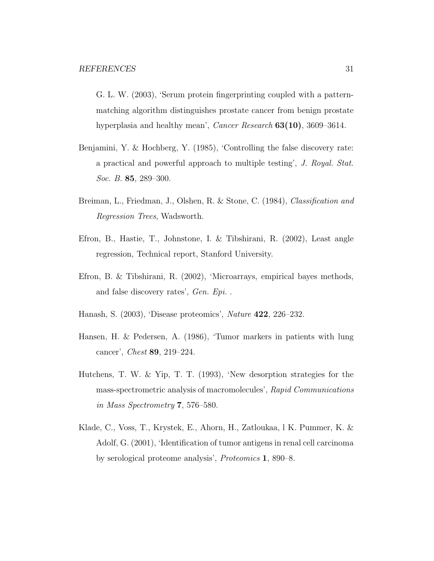G. L. W. (2003), 'Serum protein fingerprinting coupled with a patternmatching algorithm distinguishes prostate cancer from benign prostate hyperplasia and healthy mean', Cancer Research 63(10), 3609–3614.

- Benjamini, Y. & Hochberg, Y. (1985), 'Controlling the false discovery rate: a practical and powerful approach to multiple testing', J. Royal. Stat. Soc. B. **85**, 289–300.
- Breiman, L., Friedman, J., Olshen, R. & Stone, C. (1984), Classification and Regression Trees, Wadsworth.
- Efron, B., Hastie, T., Johnstone, I. & Tibshirani, R. (2002), Least angle regression, Technical report, Stanford University.
- Efron, B. & Tibshirani, R. (2002), 'Microarrays, empirical bayes methods, and false discovery rates', Gen. Epi. .
- Hanash, S. (2003), 'Disease proteomics', Nature 422, 226–232.
- Hansen, H. & Pedersen, A. (1986), 'Tumor markers in patients with lung cancer', Chest 89, 219–224.
- Hutchens, T. W. & Yip, T. T. (1993), 'New desorption strategies for the mass-spectrometric analysis of macromolecules', Rapid Communications in Mass Spectrometry 7, 576–580.
- Klade, C., Voss, T., Krystek, E., Ahorn, H., Zatloukaa, l K. Pummer, K. & Adolf, G. (2001), 'Identification of tumor antigens in renal cell carcinoma by serological proteome analysis', Proteomics 1, 890–8.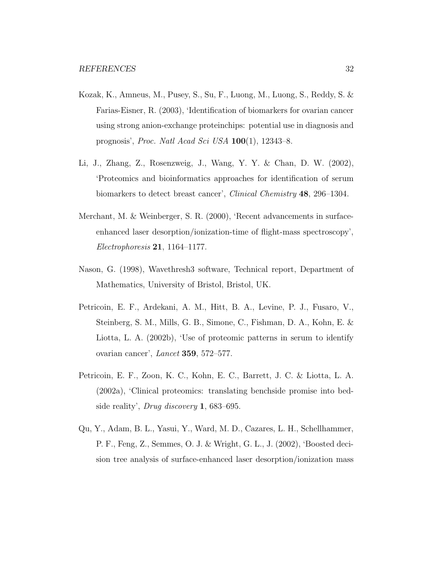- Kozak, K., Amneus, M., Pusey, S., Su, F., Luong, M., Luong, S., Reddy, S. & Farias-Eisner, R. (2003), 'Identification of biomarkers for ovarian cancer using strong anion-exchange proteinchips: potential use in diagnosis and prognosis', Proc. Natl Acad Sci USA 100(1), 12343–8.
- Li, J., Zhang, Z., Rosenzweig, J., Wang, Y. Y. & Chan, D. W. (2002), 'Proteomics and bioinformatics approaches for identification of serum biomarkers to detect breast cancer', *Clinical Chemistry* **48**, 296–1304.
- Merchant, M. & Weinberger, S. R. (2000), 'Recent advancements in surfaceenhanced laser desorption/ionization-time of flight-mass spectroscopy',  $Electrophoresis 21, 1164–1177.$
- Nason, G. (1998), Wavethresh3 software, Technical report, Department of Mathematics, University of Bristol, Bristol, UK.
- Petricoin, E. F., Ardekani, A. M., Hitt, B. A., Levine, P. J., Fusaro, V., Steinberg, S. M., Mills, G. B., Simone, C., Fishman, D. A., Kohn, E. & Liotta, L. A. (2002b), 'Use of proteomic patterns in serum to identify ovarian cancer', Lancet 359, 572–577.
- Petricoin, E. F., Zoon, K. C., Kohn, E. C., Barrett, J. C. & Liotta, L. A. (2002a), 'Clinical proteomics: translating benchside promise into bedside reality', Drug discovery 1, 683–695.
- Qu, Y., Adam, B. L., Yasui, Y., Ward, M. D., Cazares, L. H., Schellhammer, P. F., Feng, Z., Semmes, O. J. & Wright, G. L., J. (2002), 'Boosted decision tree analysis of surface-enhanced laser desorption/ionization mass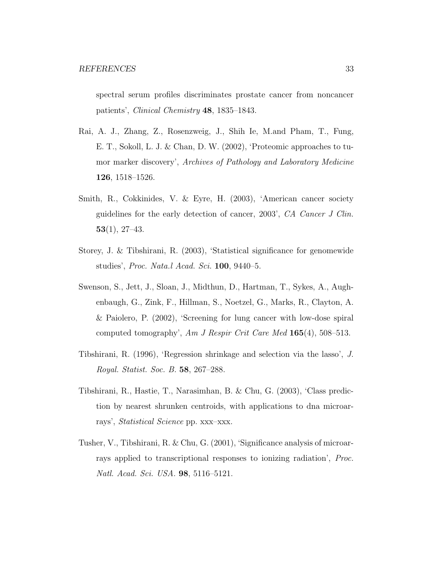spectral serum profiles discriminates prostate cancer from noncancer patients', Clinical Chemistry 48, 1835–1843.

- Rai, A. J., Zhang, Z., Rosenzweig, J., Shih Ie, M.and Pham, T., Fung, E. T., Sokoll, L. J. & Chan, D. W. (2002), 'Proteomic approaches to tumor marker discovery', Archives of Pathology and Laboratory Medicine 126, 1518–1526.
- Smith, R., Cokkinides, V. & Eyre, H. (2003), 'American cancer society guidelines for the early detection of cancer, 2003', CA Cancer J Clin.  $53(1), 27-43.$
- Storey, J. & Tibshirani, R. (2003), 'Statistical significance for genomewide studies', Proc. Nata.l Acad. Sci. 100, 9440–5.
- Swenson, S., Jett, J., Sloan, J., Midthun, D., Hartman, T., Sykes, A., Aughenbaugh, G., Zink, F., Hillman, S., Noetzel, G., Marks, R., Clayton, A. & Paiolero, P. (2002), 'Screening for lung cancer with low-dose spiral computed tomography', Am J Respir Crit Care Med 165(4), 508–513.
- Tibshirani, R. (1996), 'Regression shrinkage and selection via the lasso', J. Royal. Statist. Soc. B. 58, 267–288.
- Tibshirani, R., Hastie, T., Narasimhan, B. & Chu, G. (2003), 'Class prediction by nearest shrunken centroids, with applications to dna microarrays', Statistical Science pp. xxx–xxx.
- Tusher, V., Tibshirani, R. & Chu, G. (2001), 'Significance analysis of microarrays applied to transcriptional responses to ionizing radiation', Proc. Natl. Acad. Sci. USA. 98, 5116–5121.